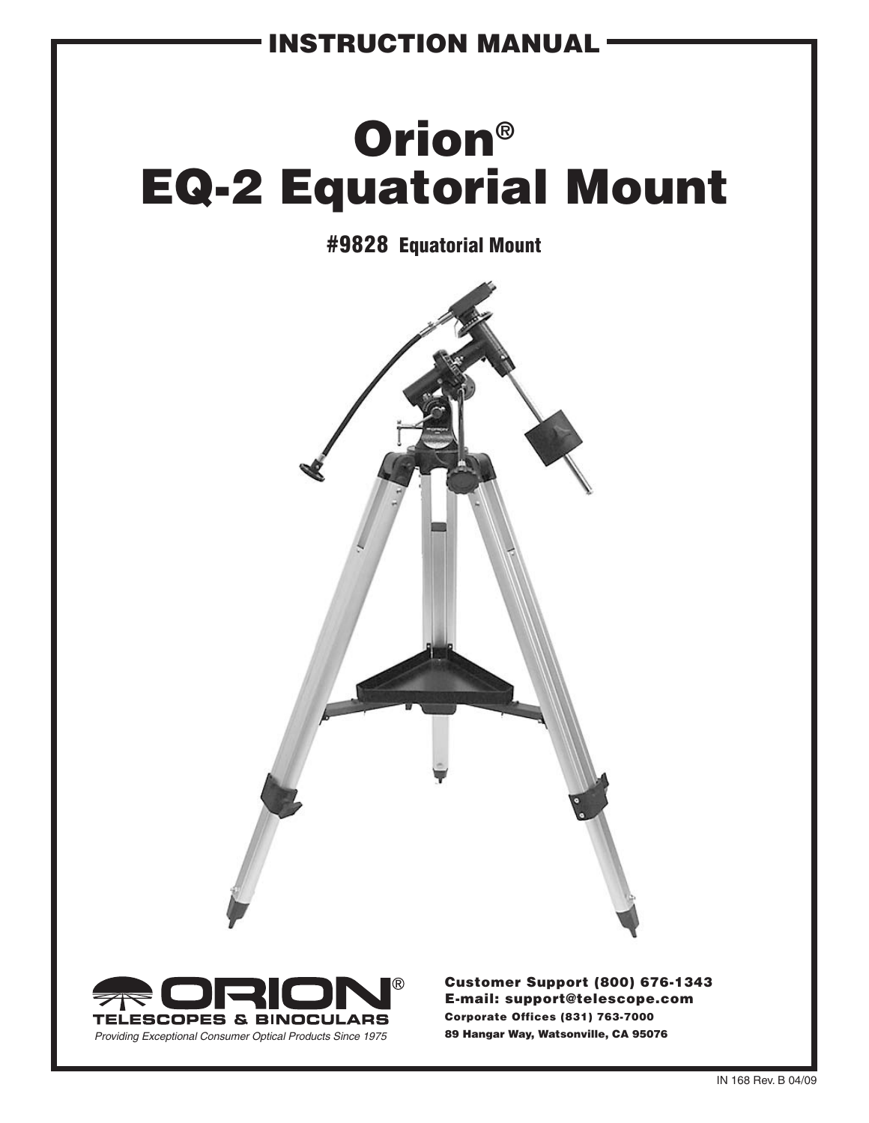### instruction Manual

# Orion® EQ-2 Equatorial Mount

### #9828 Equatorial Mount





Customer Support (800) 676-1343 E-mail: support@telescope.com Corporate Offices (831) 763-7000 89 Hangar Way, Watsonville, CA 95076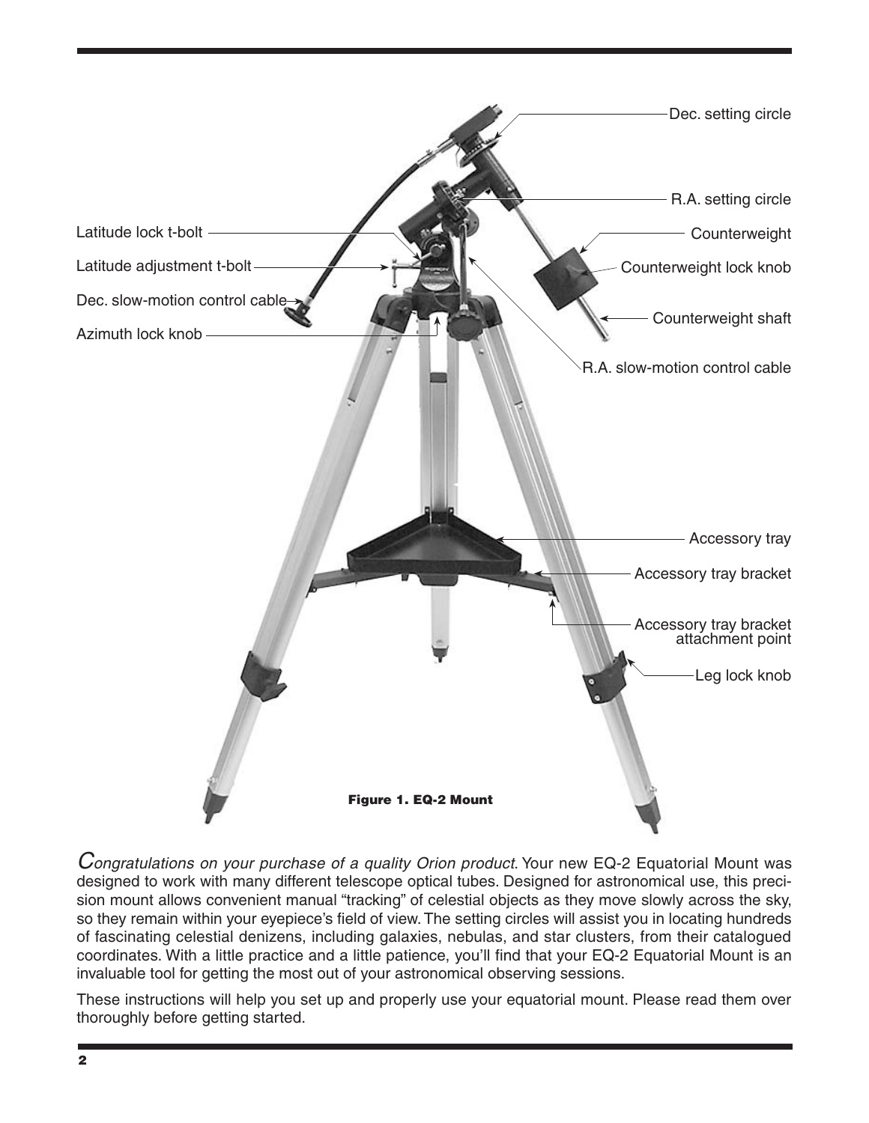

*Congratulations on your purchase of a quality Orion product*. Your new EQ-2 Equatorial Mount was designed to work with many different telescope optical tubes. Designed for astronomical use, this precision mount allows convenient manual "tracking" of celestial objects as they move slowly across the sky, so they remain within your eyepiece's field of view. The setting circles will assist you in locating hundreds of fascinating celestial denizens, including galaxies, nebulas, and star clusters, from their catalogued coordinates. With a little practice and a little patience, you'll find that your EQ-2 Equatorial Mount is an invaluable tool for getting the most out of your astronomical observing sessions.

These instructions will help you set up and properly use your equatorial mount. Please read them over thoroughly before getting started.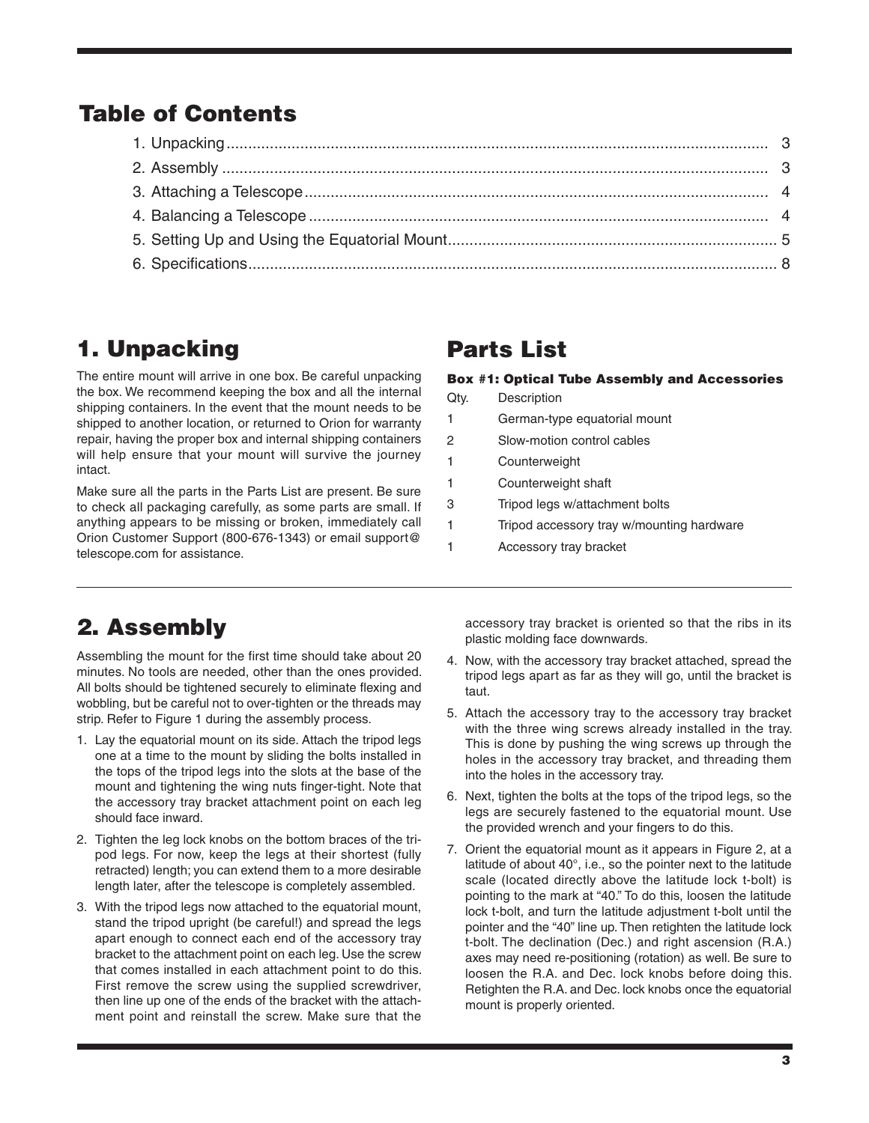### Table of Contents

### 1. Unpacking

The entire mount will arrive in one box. Be careful unpacking the box. We recommend keeping the box and all the internal shipping containers. In the event that the mount needs to be shipped to another location, or returned to Orion for warranty repair, having the proper box and internal shipping containers will help ensure that your mount will survive the journey intact.

Make sure all the parts in the Parts List are present. Be sure to check all packaging carefully, as some parts are small. If anything appears to be missing or broken, immediately call Orion Customer Support (800-676-1343) or email support@ telescope.com for assistance.

### Parts List

#### Box #1: Optical Tube Assembly and Accessories

| Qtv. | Description                    |
|------|--------------------------------|
| 1    | German-type equatorial mount   |
| 2    | Slow-motion control cables     |
| 1    | Counterweight                  |
| 1    | Counterweight shaft            |
| 3    | Tripod legs w/attachment bolts |
|      |                                |

- 1 Tripod accessory tray w/mounting hardware
- 1 Accessory tray bracket

### 2. Assembly

Assembling the mount for the first time should take about 20 minutes. No tools are needed, other than the ones provided. All bolts should be tightened securely to eliminate flexing and wobbling, but be careful not to over-tighten or the threads may strip. Refer to Figure 1 during the assembly process.

- 1. Lay the equatorial mount on its side. Attach the tripod legs one at a time to the mount by sliding the bolts installed in the tops of the tripod legs into the slots at the base of the mount and tightening the wing nuts finger-tight. Note that the accessory tray bracket attachment point on each leg should face inward.
- 2. Tighten the leg lock knobs on the bottom braces of the tripod legs. For now, keep the legs at their shortest (fully retracted) length; you can extend them to a more desirable length later, after the telescope is completely assembled.
- 3. With the tripod legs now attached to the equatorial mount, stand the tripod upright (be careful!) and spread the legs apart enough to connect each end of the accessory tray bracket to the attachment point on each leg. Use the screw that comes installed in each attachment point to do this. First remove the screw using the supplied screwdriver, then line up one of the ends of the bracket with the attachment point and reinstall the screw. Make sure that the

accessory tray bracket is oriented so that the ribs in its plastic molding face downwards.

- 4. Now, with the accessory tray bracket attached, spread the tripod legs apart as far as they will go, until the bracket is taut.
- 5. Attach the accessory tray to the accessory tray bracket with the three wing screws already installed in the tray. This is done by pushing the wing screws up through the holes in the accessory tray bracket, and threading them into the holes in the accessory tray.
- 6. Next, tighten the bolts at the tops of the tripod legs, so the legs are securely fastened to the equatorial mount. Use the provided wrench and your fingers to do this.
- 7. Orient the equatorial mount as it appears in Figure 2, at a latitude of about 40°, i.e., so the pointer next to the latitude scale (located directly above the latitude lock t-bolt) is pointing to the mark at "40." To do this, loosen the latitude lock t-bolt, and turn the latitude adjustment t-bolt until the pointer and the "40" line up. Then retighten the latitude lock t-bolt. The declination (Dec.) and right ascension (R.A.) axes may need re-positioning (rotation) as well. Be sure to loosen the R.A. and Dec. lock knobs before doing this. Retighten the R.A. and Dec. lock knobs once the equatorial mount is properly oriented.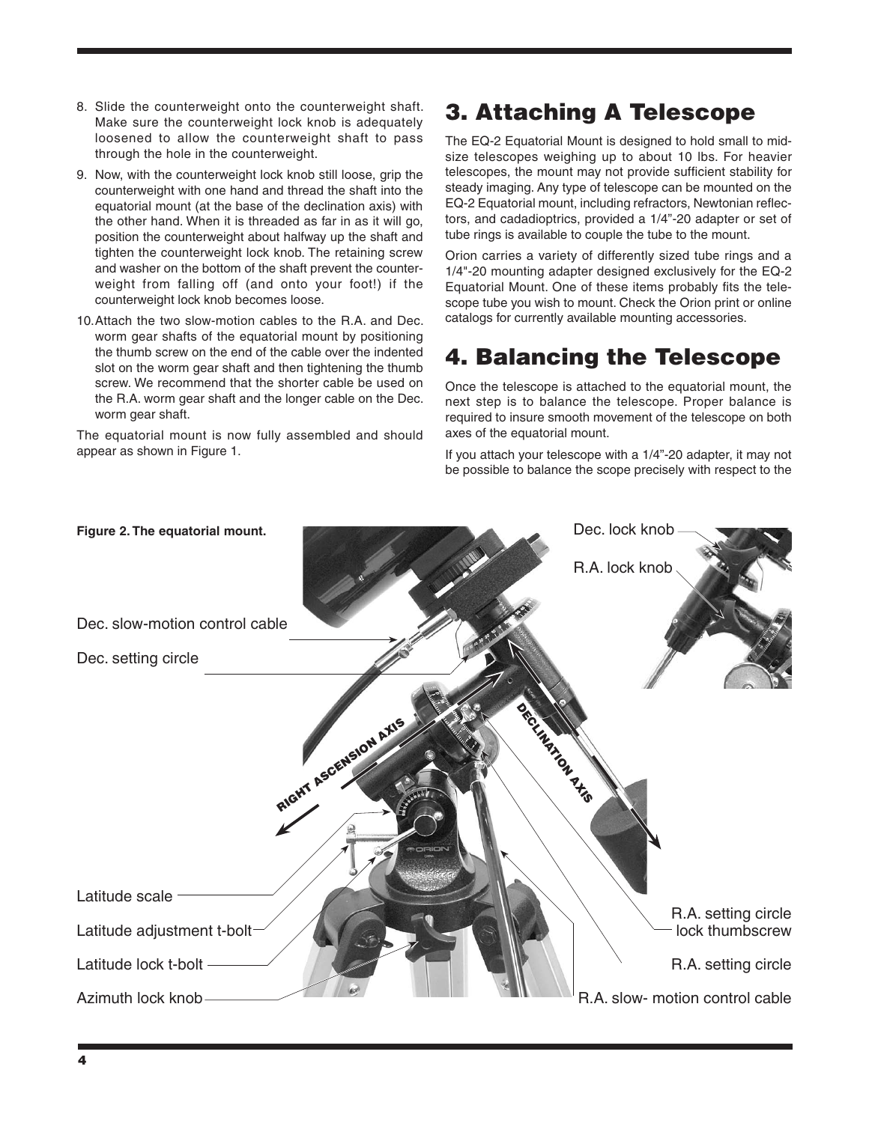- 8. Slide the counterweight onto the counterweight shaft. Make sure the counterweight lock knob is adequately loosened to allow the counterweight shaft to pass through the hole in the counterweight.
- 9. Now, with the counterweight lock knob still loose, grip the counterweight with one hand and thread the shaft into the equatorial mount (at the base of the declination axis) with the other hand. When it is threaded as far in as it will go, position the counterweight about halfway up the shaft and tighten the counterweight lock knob. The retaining screw and washer on the bottom of the shaft prevent the counterweight from falling off (and onto your foot!) if the counterweight lock knob becomes loose.
- 10.Attach the two slow-motion cables to the R.A. and Dec. worm gear shafts of the equatorial mount by positioning the thumb screw on the end of the cable over the indented slot on the worm gear shaft and then tightening the thumb screw. We recommend that the shorter cable be used on the R.A. worm gear shaft and the longer cable on the Dec. worm gear shaft.

The equatorial mount is now fully assembled and should appear as shown in Figure 1.

### 3. Attaching A Telescope

The EQ-2 Equatorial Mount is designed to hold small to midsize telescopes weighing up to about 10 lbs. For heavier telescopes, the mount may not provide sufficient stability for steady imaging. Any type of telescope can be mounted on the EQ-2 Equatorial mount, including refractors, Newtonian reflectors, and cadadioptrics, provided a 1/4"-20 adapter or set of tube rings is available to couple the tube to the mount.

Orion carries a variety of differently sized tube rings and a 1/4"-20 mounting adapter designed exclusively for the EQ-2 Equatorial Mount. One of these items probably fits the telescope tube you wish to mount. Check the Orion print or online catalogs for currently available mounting accessories.

### 4. Balancing the Telescope

Once the telescope is attached to the equatorial mount, the next step is to balance the telescope. Proper balance is required to insure smooth movement of the telescope on both axes of the equatorial mount.

If you attach your telescope with a 1/4"-20 adapter, it may not be possible to balance the scope precisely with respect to the

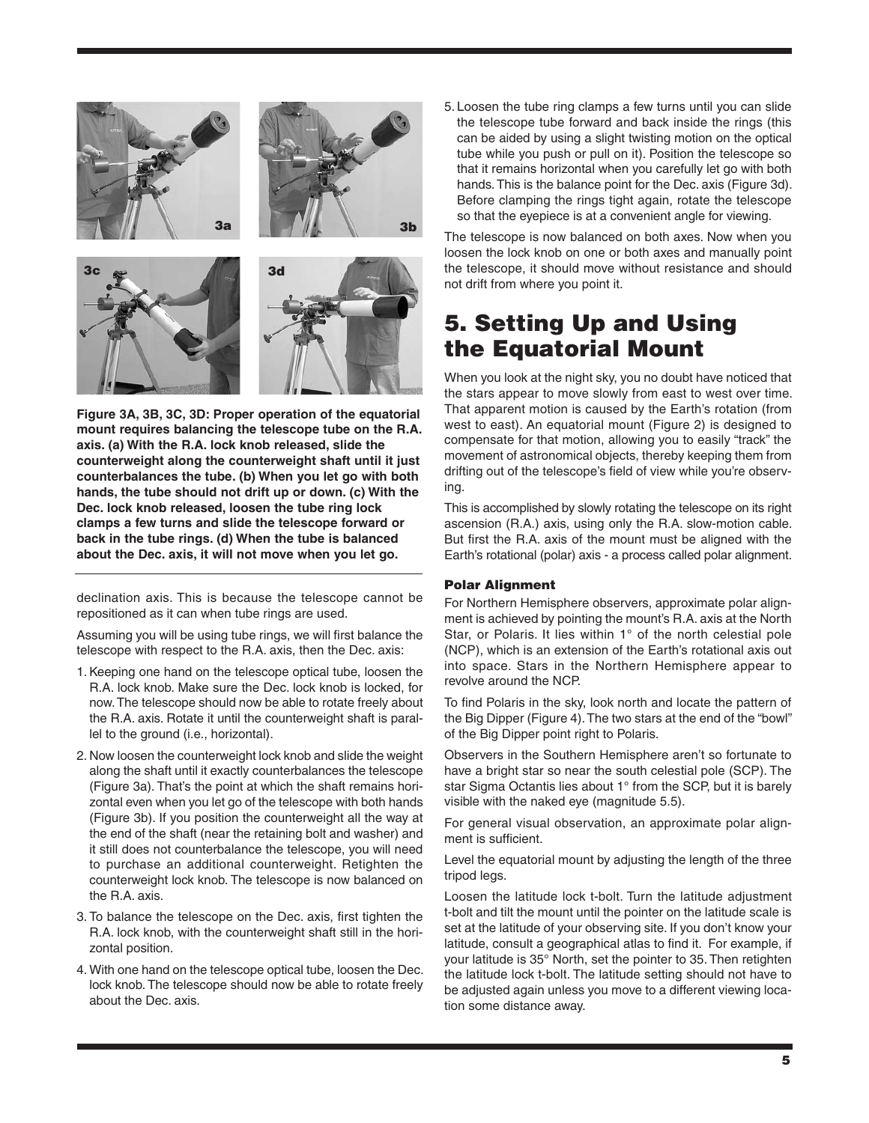

**Figure 3A, 3B, 3C, 3D: Proper operation of the equatorial mount requires balancing the telescope tube on the R.A. axis. (a) With the R.A. lock knob released, slide the counterweight along the counterweight shaft until it just counterbalances the tube. (b) When you let go with both hands, the tube should not drift up or down. (c) With the Dec. lock knob released, loosen the tube ring lock clamps a few turns and slide the telescope forward or back in the tube rings. (d) When the tube is balanced about the Dec. axis, it will not move when you let go.**

declination axis. This is because the telescope cannot be repositioned as it can when tube rings are used.

Assuming you will be using tube rings, we will first balance the telescope with respect to the R.A. axis, then the Dec. axis:

- 1. Keeping one hand on the telescope optical tube, loosen the R.A. lock knob. Make sure the Dec. lock knob is locked, for now. The telescope should now be able to rotate freely about the R.A. axis. Rotate it until the counterweight shaft is parallel to the ground (i.e., horizontal).
- 2. Now loosen the counterweight lock knob and slide the weight along the shaft until it exactly counterbalances the telescope (Figure 3a). That's the point at which the shaft remains horizontal even when you let go of the telescope with both hands (Figure 3b). If you position the counterweight all the way at the end of the shaft (near the retaining bolt and washer) and it still does not counterbalance the telescope, you will need to purchase an additional counterweight. Retighten the counterweight lock knob. The telescope is now balanced on the R.A. axis.
- 3. To balance the telescope on the Dec. axis, first tighten the R.A. lock knob, with the counterweight shaft still in the horizontal position.
- 4. With one hand on the telescope optical tube, loosen the Dec. lock knob. The telescope should now be able to rotate freely about the Dec. axis.

5. Loosen the tube ring clamps a few turns until you can slide the telescope tube forward and back inside the rings (this can be aided by using a slight twisting motion on the optical tube while you push or pull on it). Position the telescope so that it remains horizontal when you carefully let go with both hands. This is the balance point for the Dec. axis (Figure 3d). Before clamping the rings tight again, rotate the telescope so that the eyepiece is at a convenient angle for viewing.

The telescope is now balanced on both axes. Now when you loosen the lock knob on one or both axes and manually point the telescope, it should move without resistance and should not drift from where you point it.

### 5. Setting Up and Using the Equatorial Mount

When you look at the night sky, you no doubt have noticed that the stars appear to move slowly from east to west over time. That apparent motion is caused by the Earth's rotation (from west to east). An equatorial mount (Figure 2) is designed to compensate for that motion, allowing you to easily "track" the movement of astronomical objects, thereby keeping them from drifting out of the telescope's field of view while you're observing.

This is accomplished by slowly rotating the telescope on its right ascension (R.A.) axis, using only the R.A. slow-motion cable. But first the R.A. axis of the mount must be aligned with the Earth's rotational (polar) axis - a process called polar alignment.

#### Polar Alignment

For Northern Hemisphere observers, approximate polar alignment is achieved by pointing the mount's R.A. axis at the North Star, or Polaris. It lies within 1° of the north celestial pole (NCP), which is an extension of the Earth's rotational axis out into space. Stars in the Northern Hemisphere appear to revolve around the NCP.

To find Polaris in the sky, look north and locate the pattern of the Big Dipper (Figure 4). The two stars at the end of the "bowl" of the Big Dipper point right to Polaris.

Observers in the Southern Hemisphere aren't so fortunate to have a bright star so near the south celestial pole (SCP). The star Sigma Octantis lies about 1° from the SCP, but it is barely visible with the naked eye (magnitude 5.5).

For general visual observation, an approximate polar alignment is sufficient.

Level the equatorial mount by adjusting the length of the three tripod legs.

Loosen the latitude lock t-bolt. Turn the latitude adjustment t-bolt and tilt the mount until the pointer on the latitude scale is set at the latitude of your observing site. If you don't know your latitude, consult a geographical atlas to find it. For example, if your latitude is 35° North, set the pointer to 35. Then retighten the latitude lock t-bolt. The latitude setting should not have to be adjusted again unless you move to a different viewing location some distance away.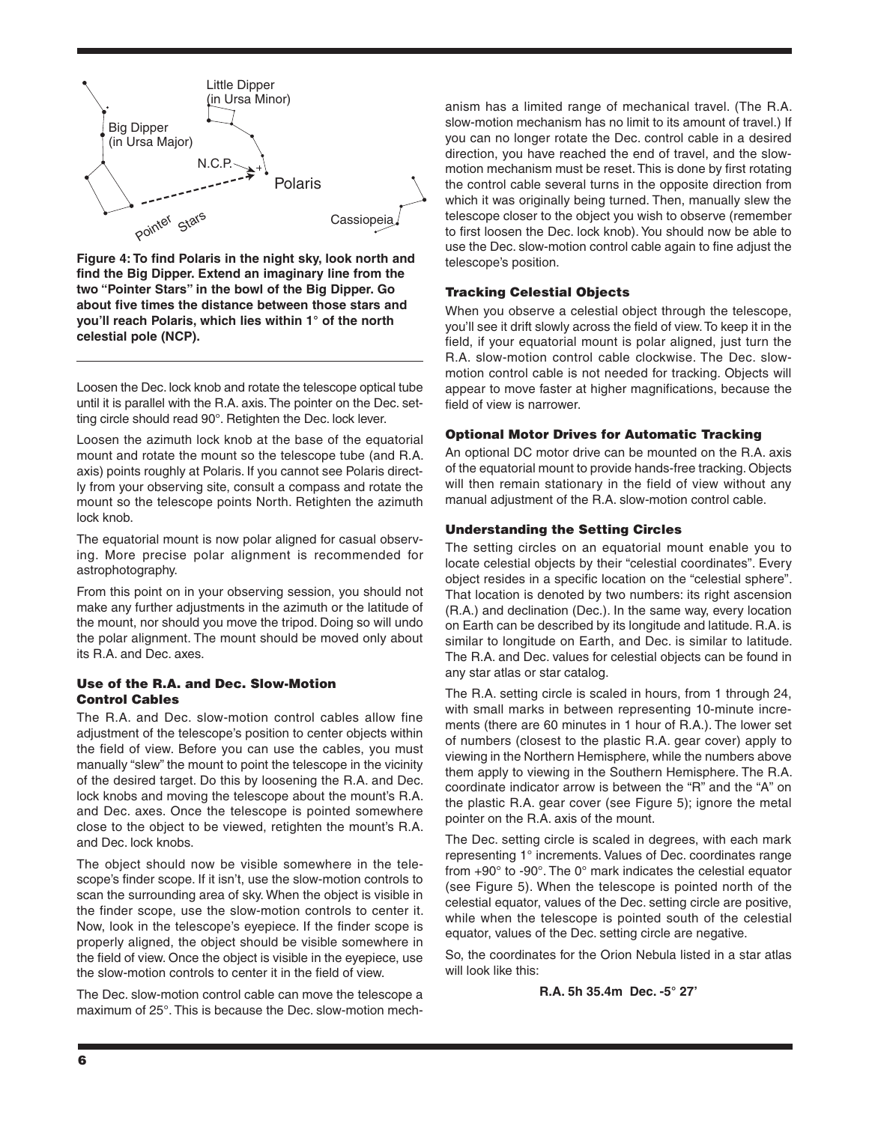

**Figure 4: To find Polaris in the night sky, look north and find the Big Dipper. Extend an imaginary line from the two "Pointer Stars" in the bowl of the Big Dipper. Go about five times the distance between those stars and you'll reach Polaris, which lies within 1° of the north celestial pole (NCP).**

Loosen the Dec. lock knob and rotate the telescope optical tube until it is parallel with the R.A. axis. The pointer on the Dec. setting circle should read 90°. Retighten the Dec. lock lever.

Loosen the azimuth lock knob at the base of the equatorial mount and rotate the mount so the telescope tube (and R.A. axis) points roughly at Polaris. If you cannot see Polaris directly from your observing site, consult a compass and rotate the mount so the telescope points North. Retighten the azimuth lock knob.

The equatorial mount is now polar aligned for casual observing. More precise polar alignment is recommended for astrophotography.

From this point on in your observing session, you should not make any further adjustments in the azimuth or the latitude of the mount, nor should you move the tripod. Doing so will undo the polar alignment. The mount should be moved only about its R.A. and Dec. axes.

#### Use of the R.A. and Dec. Slow-Motion Control Cables

The R.A. and Dec. slow-motion control cables allow fine adjustment of the telescope's position to center objects within the field of view. Before you can use the cables, you must manually "slew" the mount to point the telescope in the vicinity of the desired target. Do this by loosening the R.A. and Dec. lock knobs and moving the telescope about the mount's R.A. and Dec. axes. Once the telescope is pointed somewhere close to the object to be viewed, retighten the mount's R.A. and Dec. lock knobs.

The object should now be visible somewhere in the telescope's finder scope. If it isn't, use the slow-motion controls to scan the surrounding area of sky. When the object is visible in the finder scope, use the slow-motion controls to center it. Now, look in the telescope's eyepiece. If the finder scope is properly aligned, the object should be visible somewhere in the field of view. Once the object is visible in the eyepiece, use the slow-motion controls to center it in the field of view.

The Dec. slow-motion control cable can move the telescope a maximum of 25°. This is because the Dec. slow-motion mech-

anism has a limited range of mechanical travel. (The R.A. slow-motion mechanism has no limit to its amount of travel.) If you can no longer rotate the Dec. control cable in a desired direction, you have reached the end of travel, and the slowmotion mechanism must be reset. This is done by first rotating the control cable several turns in the opposite direction from which it was originally being turned. Then, manually slew the telescope closer to the object you wish to observe (remember to first loosen the Dec. lock knob). You should now be able to use the Dec. slow-motion control cable again to fine adjust the telescope's position.

#### Tracking Celestial Objects

When you observe a celestial object through the telescope, you'll see it drift slowly across the field of view. To keep it in the field, if your equatorial mount is polar aligned, just turn the R.A. slow-motion control cable clockwise. The Dec. slowmotion control cable is not needed for tracking. Objects will appear to move faster at higher magnifications, because the field of view is narrower.

#### Optional Motor Drives for Automatic Tracking

An optional DC motor drive can be mounted on the R.A. axis of the equatorial mount to provide hands-free tracking. Objects will then remain stationary in the field of view without any manual adjustment of the R.A. slow-motion control cable.

#### Understanding the Setting Circles

The setting circles on an equatorial mount enable you to locate celestial objects by their "celestial coordinates". Every object resides in a specific location on the "celestial sphere". That location is denoted by two numbers: its right ascension (R.A.) and declination (Dec.). In the same way, every location on Earth can be described by its longitude and latitude. R.A. is similar to longitude on Earth, and Dec. is similar to latitude. The R.A. and Dec. values for celestial objects can be found in any star atlas or star catalog.

The R.A. setting circle is scaled in hours, from 1 through 24, with small marks in between representing 10-minute increments (there are 60 minutes in 1 hour of R.A.). The lower set of numbers (closest to the plastic R.A. gear cover) apply to viewing in the Northern Hemisphere, while the numbers above them apply to viewing in the Southern Hemisphere. The R.A. coordinate indicator arrow is between the "R" and the "A" on the plastic R.A. gear cover (see Figure 5); ignore the metal pointer on the R.A. axis of the mount.

The Dec. setting circle is scaled in degrees, with each mark representing 1° increments. Values of Dec. coordinates range from +90° to -90°. The 0° mark indicates the celestial equator (see Figure 5). When the telescope is pointed north of the celestial equator, values of the Dec. setting circle are positive, while when the telescope is pointed south of the celestial equator, values of the Dec. setting circle are negative.

So, the coordinates for the Orion Nebula listed in a star atlas will look like this:

**R.A. 5h 35.4m Dec. -5° 27'**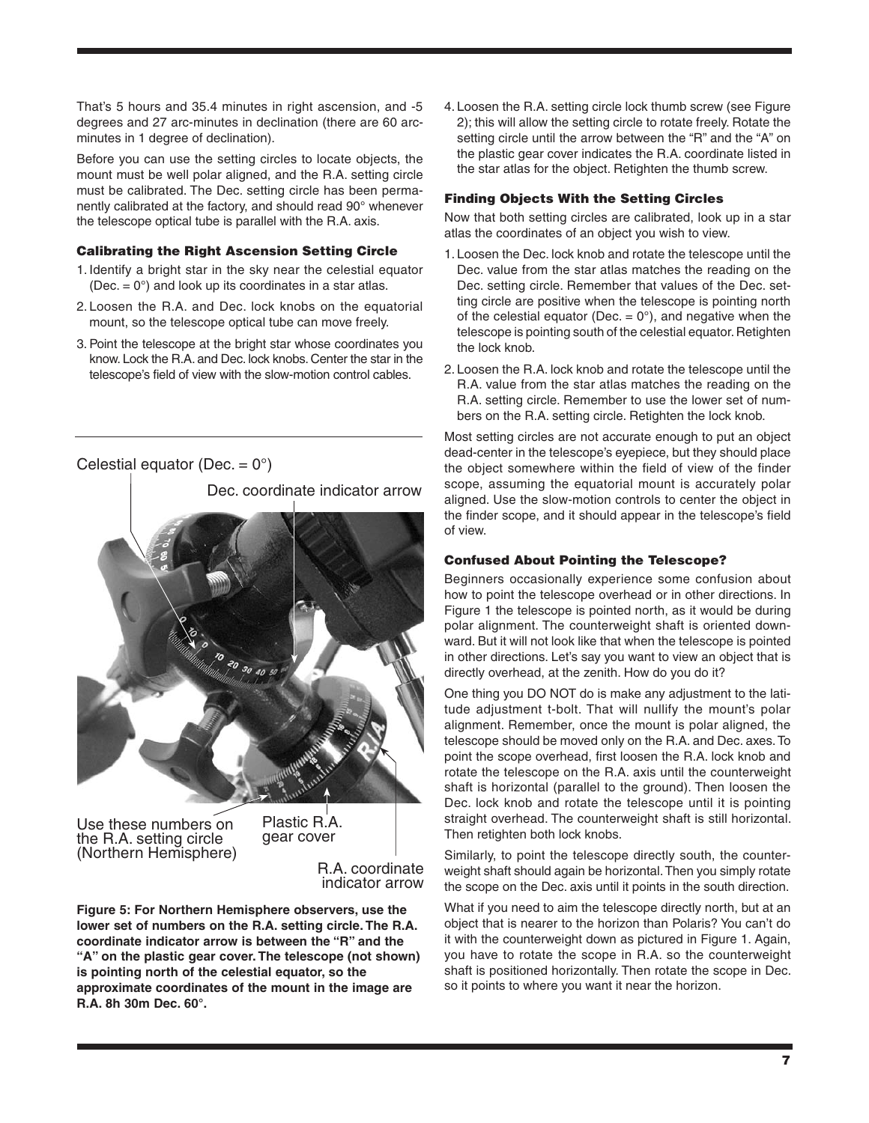That's 5 hours and 35.4 minutes in right ascension, and -5 degrees and 27 arc-minutes in declination (there are 60 arcminutes in 1 degree of declination).

Before you can use the setting circles to locate objects, the mount must be well polar aligned, and the R.A. setting circle must be calibrated. The Dec. setting circle has been permanently calibrated at the factory, and should read 90° whenever the telescope optical tube is parallel with the R.A. axis.

#### Calibrating the Right Ascension Setting Circle

- 1. Identify a bright star in the sky near the celestial equator (Dec.  $= 0^{\circ}$ ) and look up its coordinates in a star atlas.
- 2. Loosen the R.A. and Dec. lock knobs on the equatorial mount, so the telescope optical tube can move freely.
- 3. Point the telescope at the bright star whose coordinates you know. Lock the R.A. and Dec. lock knobs. Center the star in the telescope's field of view with the slow-motion control cables.

Celestial equator (Dec.  $= 0^{\circ}$ )

Dec. coordinate indicator arrow



Use these numbers on the R.A. setting circle (Northern Hemisphere) Plastic R.A. gear cover

R.A. coordinate indicator arrow

**Figure 5: For Northern Hemisphere observers, use the lower set of numbers on the R.A. setting circle. The R.A. coordinate indicator arrow is between the "R" and the "A" on the plastic gear cover. The telescope (not shown) is pointing north of the celestial equator, so the approximate coordinates of the mount in the image are R.A. 8h 30m Dec. 60°.** 

4. Loosen the R.A. setting circle lock thumb screw (see Figure 2); this will allow the setting circle to rotate freely. Rotate the setting circle until the arrow between the "R" and the "A" on the plastic gear cover indicates the R.A. coordinate listed in the star atlas for the object. Retighten the thumb screw.

#### Finding Objects With the Setting Circles

Now that both setting circles are calibrated, look up in a star atlas the coordinates of an object you wish to view.

- 1. Loosen the Dec. lock knob and rotate the telescope until the Dec. value from the star atlas matches the reading on the Dec. setting circle. Remember that values of the Dec. setting circle are positive when the telescope is pointing north of the celestial equator (Dec.  $= 0^{\circ}$ ), and negative when the telescope is pointing south of the celestial equator. Retighten the lock knob.
- 2. Loosen the R.A. lock knob and rotate the telescope until the R.A. value from the star atlas matches the reading on the R.A. setting circle. Remember to use the lower set of numbers on the R.A. setting circle. Retighten the lock knob.

Most setting circles are not accurate enough to put an object dead-center in the telescope's eyepiece, but they should place the object somewhere within the field of view of the finder scope, assuming the equatorial mount is accurately polar aligned. Use the slow-motion controls to center the object in the finder scope, and it should appear in the telescope's field of view.

#### Confused About Pointing the Telescope?

Beginners occasionally experience some confusion about how to point the telescope overhead or in other directions. In Figure 1 the telescope is pointed north, as it would be during polar alignment. The counterweight shaft is oriented downward. But it will not look like that when the telescope is pointed in other directions. Let's say you want to view an object that is directly overhead, at the zenith. How do you do it?

One thing you DO NOT do is make any adjustment to the latitude adjustment t-bolt. That will nullify the mount's polar alignment. Remember, once the mount is polar aligned, the telescope should be moved only on the R.A. and Dec. axes. To point the scope overhead, first loosen the R.A. lock knob and rotate the telescope on the R.A. axis until the counterweight shaft is horizontal (parallel to the ground). Then loosen the Dec. lock knob and rotate the telescope until it is pointing straight overhead. The counterweight shaft is still horizontal. Then retighten both lock knobs.

Similarly, to point the telescope directly south, the counterweight shaft should again be horizontal. Then you simply rotate the scope on the Dec. axis until it points in the south direction.

What if you need to aim the telescope directly north, but at an object that is nearer to the horizon than Polaris? You can't do it with the counterweight down as pictured in Figure 1. Again, you have to rotate the scope in R.A. so the counterweight shaft is positioned horizontally. Then rotate the scope in Dec. so it points to where you want it near the horizon.